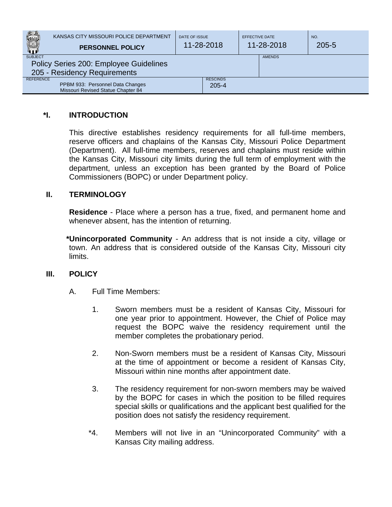|                  | KANSAS CITY MISSOURI POLICE DEPARTMENT<br><b>PERSONNEL POLICY</b>      | DATE OF ISSUE<br>11-28-2018  | EFFECTIVE DATE<br>11-28-2018 | NO.<br>$205 - 5$ |
|------------------|------------------------------------------------------------------------|------------------------------|------------------------------|------------------|
| <b>SUBJECT</b>   | Policy Series 200: Employee Guidelines<br>205 - Residency Requirements |                              | <b>AMENDS</b>                |                  |
| <b>REFERENCE</b> | PPBM 933: Personnel Data Changes<br>Missouri Revised Statue Chapter 84 | <b>RESCINDS</b><br>$205 - 4$ |                              |                  |

## **\*I. INTRODUCTION**

This directive establishes residency requirements for all full-time members, reserve officers and chaplains of the Kansas City, Missouri Police Department (Department). All full-time members, reserves and chaplains must reside within the Kansas City, Missouri city limits during the full term of employment with the department, unless an exception has been granted by the Board of Police Commissioners (BOPC) or under Department policy.

## **II. TERMINOLOGY**

**Residence** - Place where a person has a true, fixed, and permanent home and whenever absent, has the intention of returning.

**\*Unincorporated Community** - An address that is not inside a city, village or town. An address that is considered outside of the Kansas City, Missouri city limits.

## **III. POLICY**

- A. Full Time Members:
	- 1. Sworn members must be a resident of Kansas City, Missouri for one year prior to appointment. However, the Chief of Police may request the BOPC waive the residency requirement until the member completes the probationary period.
	- 2. Non-Sworn members must be a resident of Kansas City, Missouri at the time of appointment or become a resident of Kansas City, Missouri within nine months after appointment date.
	- 3. The residency requirement for non-sworn members may be waived by the BOPC for cases in which the position to be filled requires special skills or qualifications and the applicant best qualified for the position does not satisfy the residency requirement.
	- \*4. Members will not live in an "Unincorporated Community" with a Kansas City mailing address.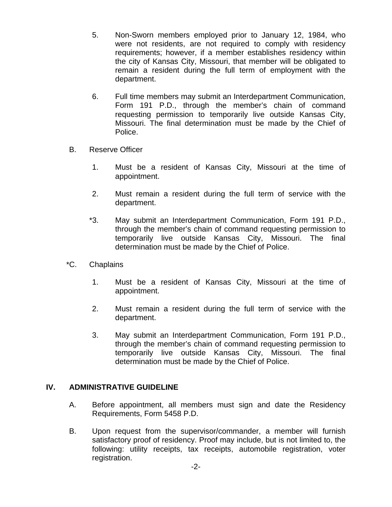- 5. Non-Sworn members employed prior to January 12, 1984, who were not residents, are not required to comply with residency requirements; however, if a member establishes residency within the city of Kansas City, Missouri, that member will be obligated to remain a resident during the full term of employment with the department.
- 6. Full time members may submit an Interdepartment Communication, Form 191 P.D., through the member's chain of command requesting permission to temporarily live outside Kansas City, Missouri. The final determination must be made by the Chief of Police.
- B. Reserve Officer
	- 1. Must be a resident of Kansas City, Missouri at the time of appointment.
	- 2. Must remain a resident during the full term of service with the department.
	- \*3. May submit an Interdepartment Communication, Form 191 P.D., through the member's chain of command requesting permission to temporarily live outside Kansas City, Missouri. The final determination must be made by the Chief of Police.
- \*C. Chaplains
	- 1. Must be a resident of Kansas City, Missouri at the time of appointment.
	- 2. Must remain a resident during the full term of service with the department.
	- 3. May submit an Interdepartment Communication, Form 191 P.D., through the member's chain of command requesting permission to temporarily live outside Kansas City, Missouri. The final determination must be made by the Chief of Police.

## **IV. ADMINISTRATIVE GUIDELINE**

- A. Before appointment, all members must sign and date the Residency Requirements, Form 5458 P.D.
- B. Upon request from the supervisor/commander, a member will furnish satisfactory proof of residency. Proof may include, but is not limited to, the following: utility receipts, tax receipts, automobile registration, voter registration.